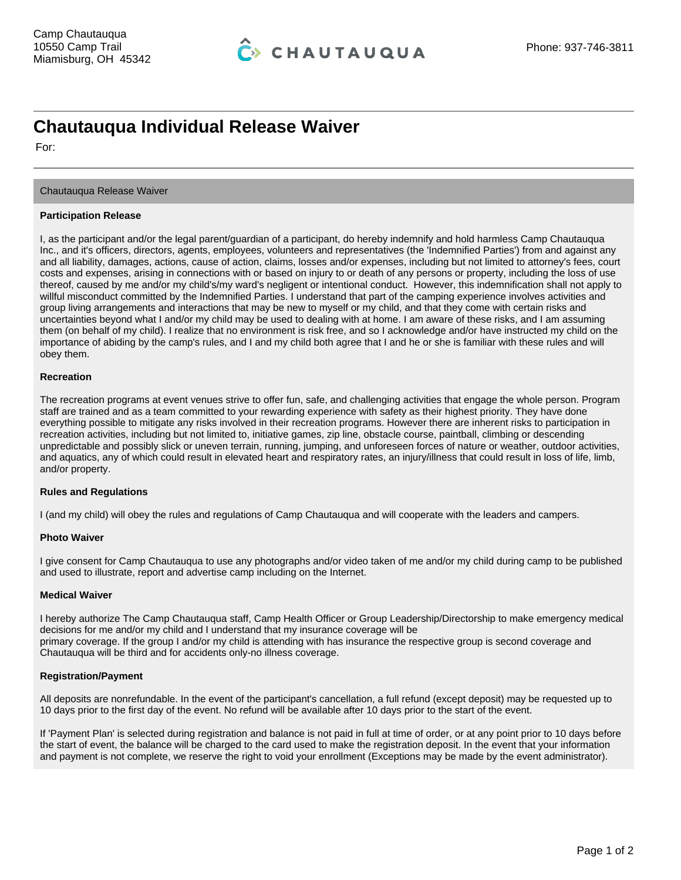# **Chautauqua Individual Release Waiver**

For:

## Chautauqua Release Waiver

### **Participation Release**

I, as the participant and/or the legal parent/guardian of a participant, do hereby indemnify and hold harmless Camp Chautauqua Inc., and it's officers, directors, agents, employees, volunteers and representatives (the 'Indemnified Parties') from and against any and all liability, damages, actions, cause of action, claims, losses and/or expenses, including but not limited to attorney's fees, court costs and expenses, arising in connections with or based on injury to or death of any persons or property, including the loss of use thereof, caused by me and/or my child's/my ward's negligent or intentional conduct. However, this indemnification shall not apply to willful misconduct committed by the Indemnified Parties. I understand that part of the camping experience involves activities and group living arrangements and interactions that may be new to myself or my child, and that they come with certain risks and uncertainties beyond what I and/or my child may be used to dealing with at home. I am aware of these risks, and I am assuming them (on behalf of my child). I realize that no environment is risk free, and so I acknowledge and/or have instructed my child on the importance of abiding by the camp's rules, and I and my child both agree that I and he or she is familiar with these rules and will obey them.

### **Recreation**

The recreation programs at event venues strive to offer fun, safe, and challenging activities that engage the whole person. Program staff are trained and as a team committed to your rewarding experience with safety as their highest priority. They have done everything possible to mitigate any risks involved in their recreation programs. However there are inherent risks to participation in recreation activities, including but not limited to, initiative games, zip line, obstacle course, paintball, climbing or descending unpredictable and possibly slick or uneven terrain, running, jumping, and unforeseen forces of nature or weather, outdoor activities, and aquatics, any of which could result in elevated heart and respiratory rates, an injury/illness that could result in loss of life, limb, and/or property.

# **Rules and Regulations**

I (and my child) will obey the rules and regulations of Camp Chautauqua and will cooperate with the leaders and campers.

#### **Photo Waiver**

I give consent for Camp Chautauqua to use any photographs and/or video taken of me and/or my child during camp to be published and used to illustrate, report and advertise camp including on the Internet.

#### **Medical Waiver**

I hereby authorize The Camp Chautauqua staff, Camp Health Officer or Group Leadership/Directorship to make emergency medical decisions for me and/or my child and I understand that my insurance coverage will be primary coverage. If the group I and/or my child is attending with has insurance the respective group is second coverage and Chautauqua will be third and for accidents only-no illness coverage.

# **Registration/Payment**

All deposits are nonrefundable. In the event of the participant's cancellation, a full refund (except deposit) may be requested up to 10 days prior to the first day of the event. No refund will be available after 10 days prior to the start of the event.

If 'Payment Plan' is selected during registration and balance is not paid in full at time of order, or at any point prior to 10 days before the start of event, the balance will be charged to the card used to make the registration deposit. In the event that your information and payment is not complete, we reserve the right to void your enrollment (Exceptions may be made by the event administrator).